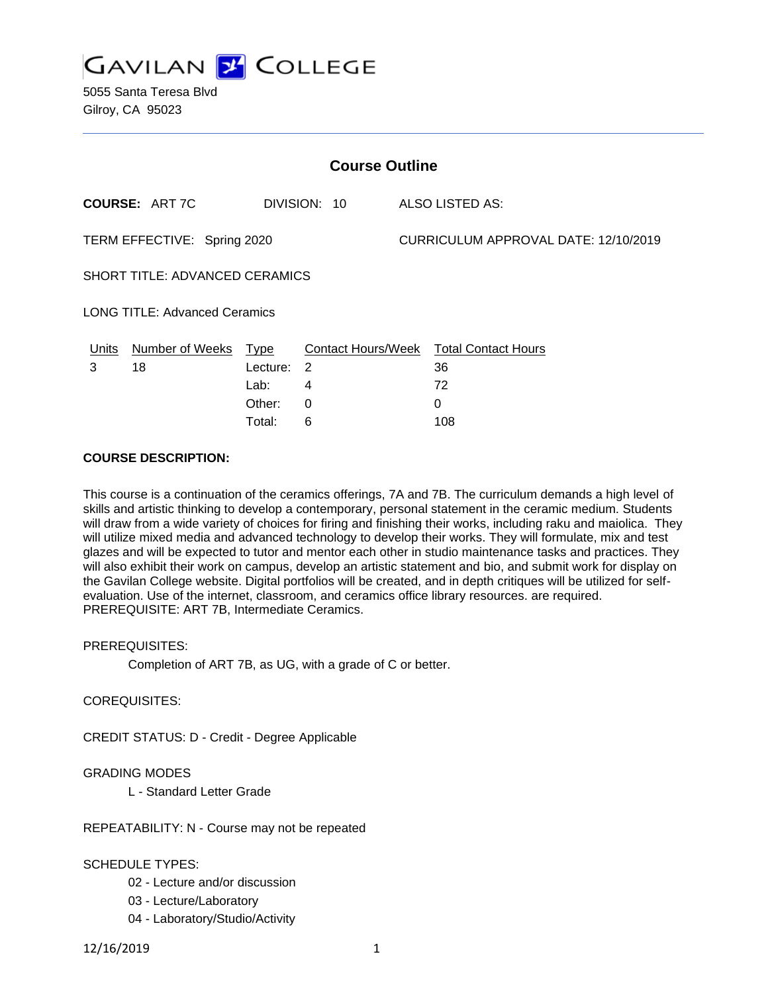

| <b>Course Outline</b>                 |                       |          |              |                                      |                                        |
|---------------------------------------|-----------------------|----------|--------------|--------------------------------------|----------------------------------------|
|                                       | <b>COURSE: ART 7C</b> |          | DIVISION: 10 |                                      | <b>ALSO LISTED AS:</b>                 |
| TERM EFFECTIVE: Spring 2020           |                       |          |              | CURRICULUM APPROVAL DATE: 12/10/2019 |                                        |
| <b>SHORT TITLE: ADVANCED CERAMICS</b> |                       |          |              |                                      |                                        |
| <b>LONG TITLE: Advanced Ceramics</b>  |                       |          |              |                                      |                                        |
| Units                                 | Number of Weeks       | Type     |              |                                      | Contact Hours/Week Total Contact Hours |
| 3                                     | 18                    | Lecture: | -2           |                                      | 36                                     |
|                                       |                       | Lab:     | 4            |                                      | 72                                     |
|                                       |                       | Other:   | 0            |                                      | 0                                      |
|                                       |                       | Total:   | 6            |                                      | 108                                    |

#### **COURSE DESCRIPTION:**

This course is a continuation of the ceramics offerings, 7A and 7B. The curriculum demands a high level of skills and artistic thinking to develop a contemporary, personal statement in the ceramic medium. Students will draw from a wide variety of choices for firing and finishing their works, including raku and maiolica. They will utilize mixed media and advanced technology to develop their works. They will formulate, mix and test glazes and will be expected to tutor and mentor each other in studio maintenance tasks and practices. They will also exhibit their work on campus, develop an artistic statement and bio, and submit work for display on the Gavilan College website. Digital portfolios will be created, and in depth critiques will be utilized for selfevaluation. Use of the internet, classroom, and ceramics office library resources. are required. PREREQUISITE: ART 7B, Intermediate Ceramics.

#### PREREQUISITES:

Completion of ART 7B, as UG, with a grade of C or better.

## COREQUISITES:

CREDIT STATUS: D - Credit - Degree Applicable

## GRADING MODES

L - Standard Letter Grade

#### REPEATABILITY: N - Course may not be repeated

## SCHEDULE TYPES:

- 02 Lecture and/or discussion
- 03 Lecture/Laboratory
- 04 Laboratory/Studio/Activity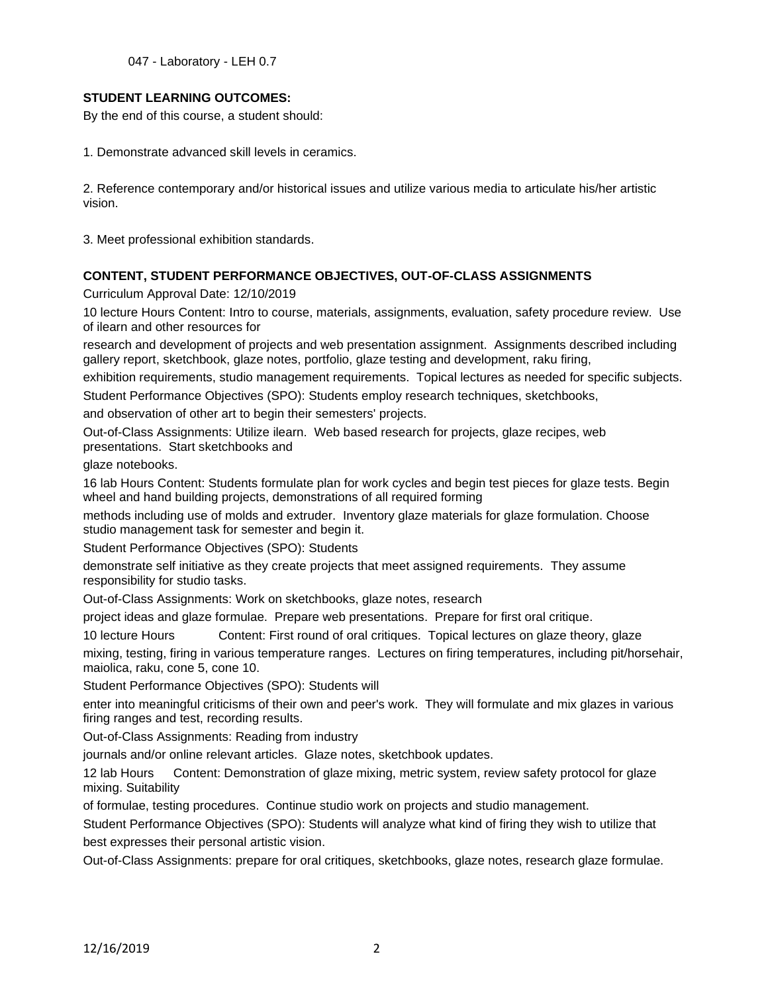047 - Laboratory - LEH 0.7

## **STUDENT LEARNING OUTCOMES:**

By the end of this course, a student should:

1. Demonstrate advanced skill levels in ceramics.

2. Reference contemporary and/or historical issues and utilize various media to articulate his/her artistic vision.

3. Meet professional exhibition standards.

## **CONTENT, STUDENT PERFORMANCE OBJECTIVES, OUT-OF-CLASS ASSIGNMENTS**

Curriculum Approval Date: 12/10/2019

10 lecture Hours Content: Intro to course, materials, assignments, evaluation, safety procedure review. Use of ilearn and other resources for

research and development of projects and web presentation assignment. Assignments described including gallery report, sketchbook, glaze notes, portfolio, glaze testing and development, raku firing,

exhibition requirements, studio management requirements. Topical lectures as needed for specific subjects.

Student Performance Objectives (SPO): Students employ research techniques, sketchbooks,

and observation of other art to begin their semesters' projects.

Out-of-Class Assignments: Utilize ilearn. Web based research for projects, glaze recipes, web presentations. Start sketchbooks and

glaze notebooks.

16 lab Hours Content: Students formulate plan for work cycles and begin test pieces for glaze tests. Begin wheel and hand building projects, demonstrations of all required forming

methods including use of molds and extruder. Inventory glaze materials for glaze formulation. Choose studio management task for semester and begin it.

Student Performance Objectives (SPO): Students

demonstrate self initiative as they create projects that meet assigned requirements. They assume responsibility for studio tasks.

Out-of-Class Assignments: Work on sketchbooks, glaze notes, research

project ideas and glaze formulae. Prepare web presentations. Prepare for first oral critique.

10 lecture Hours Content: First round of oral critiques. Topical lectures on glaze theory, glaze mixing, testing, firing in various temperature ranges. Lectures on firing temperatures, including pit/horsehair, maiolica, raku, cone 5, cone 10.

Student Performance Objectives (SPO): Students will

enter into meaningful criticisms of their own and peer's work. They will formulate and mix glazes in various firing ranges and test, recording results.

Out-of-Class Assignments: Reading from industry

journals and/or online relevant articles. Glaze notes, sketchbook updates.

12 lab Hours Content: Demonstration of glaze mixing, metric system, review safety protocol for glaze mixing. Suitability

of formulae, testing procedures. Continue studio work on projects and studio management.

Student Performance Objectives (SPO): Students will analyze what kind of firing they wish to utilize that best expresses their personal artistic vision.

Out-of-Class Assignments: prepare for oral critiques, sketchbooks, glaze notes, research glaze formulae.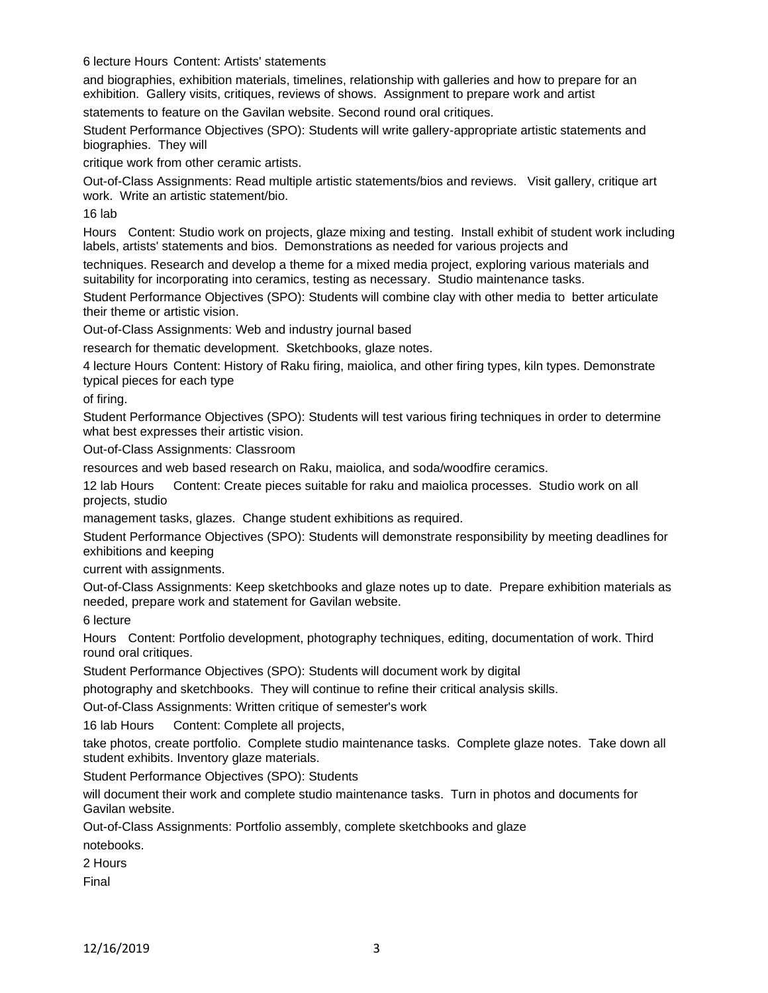6 lecture Hours Content: Artists' statements

and biographies, exhibition materials, timelines, relationship with galleries and how to prepare for an exhibition. Gallery visits, critiques, reviews of shows. Assignment to prepare work and artist

statements to feature on the Gavilan website. Second round oral critiques.

Student Performance Objectives (SPO): Students will write gallery-appropriate artistic statements and biographies. They will

critique work from other ceramic artists.

Out-of-Class Assignments: Read multiple artistic statements/bios and reviews. Visit gallery, critique art work. Write an artistic statement/bio.

16 lab

Hours Content: Studio work on projects, glaze mixing and testing. Install exhibit of student work including labels, artists' statements and bios. Demonstrations as needed for various projects and

techniques. Research and develop a theme for a mixed media project, exploring various materials and suitability for incorporating into ceramics, testing as necessary. Studio maintenance tasks.

Student Performance Objectives (SPO): Students will combine clay with other media to better articulate their theme or artistic vision.

Out-of-Class Assignments: Web and industry journal based

research for thematic development. Sketchbooks, glaze notes.

4 lecture Hours Content: History of Raku firing, maiolica, and other firing types, kiln types. Demonstrate typical pieces for each type

of firing.

Student Performance Objectives (SPO): Students will test various firing techniques in order to determine what best expresses their artistic vision.

Out-of-Class Assignments: Classroom

resources and web based research on Raku, maiolica, and soda/woodfire ceramics.

12 lab Hours Content: Create pieces suitable for raku and maiolica processes. Studio work on all projects, studio

management tasks, glazes. Change student exhibitions as required.

Student Performance Objectives (SPO): Students will demonstrate responsibility by meeting deadlines for exhibitions and keeping

current with assignments.

Out-of-Class Assignments: Keep sketchbooks and glaze notes up to date. Prepare exhibition materials as needed, prepare work and statement for Gavilan website.

6 lecture

Hours Content: Portfolio development, photography techniques, editing, documentation of work. Third round oral critiques.

Student Performance Objectives (SPO): Students will document work by digital

photography and sketchbooks. They will continue to refine their critical analysis skills.

Out-of-Class Assignments: Written critique of semester's work

16 lab Hours Content: Complete all projects,

take photos, create portfolio. Complete studio maintenance tasks. Complete glaze notes. Take down all student exhibits. Inventory glaze materials.

Student Performance Objectives (SPO): Students

will document their work and complete studio maintenance tasks. Turn in photos and documents for Gavilan website.

Out-of-Class Assignments: Portfolio assembly, complete sketchbooks and glaze

notebooks.

2 Hours

Final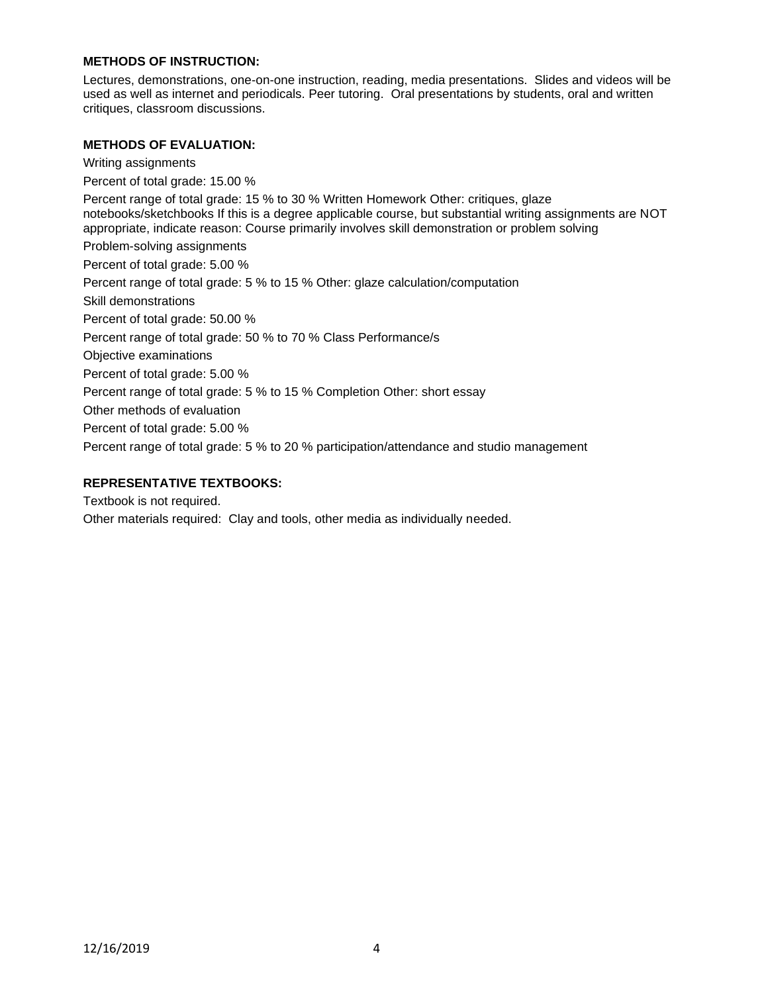### **METHODS OF INSTRUCTION:**

Lectures, demonstrations, one-on-one instruction, reading, media presentations. Slides and videos will be used as well as internet and periodicals. Peer tutoring. Oral presentations by students, oral and written critiques, classroom discussions.

### **METHODS OF EVALUATION:**

Writing assignments Percent of total grade: 15.00 % Percent range of total grade: 15 % to 30 % Written Homework Other: critiques, glaze notebooks/sketchbooks If this is a degree applicable course, but substantial writing assignments are NOT appropriate, indicate reason: Course primarily involves skill demonstration or problem solving Problem-solving assignments Percent of total grade: 5.00 % Percent range of total grade: 5 % to 15 % Other: glaze calculation/computation Skill demonstrations Percent of total grade: 50.00 % Percent range of total grade: 50 % to 70 % Class Performance/s Objective examinations Percent of total grade: 5.00 % Percent range of total grade: 5 % to 15 % Completion Other: short essay Other methods of evaluation Percent of total grade: 5.00 % Percent range of total grade: 5 % to 20 % participation/attendance and studio management

#### **REPRESENTATIVE TEXTBOOKS:**

Textbook is not required.

Other materials required: Clay and tools, other media as individually needed.